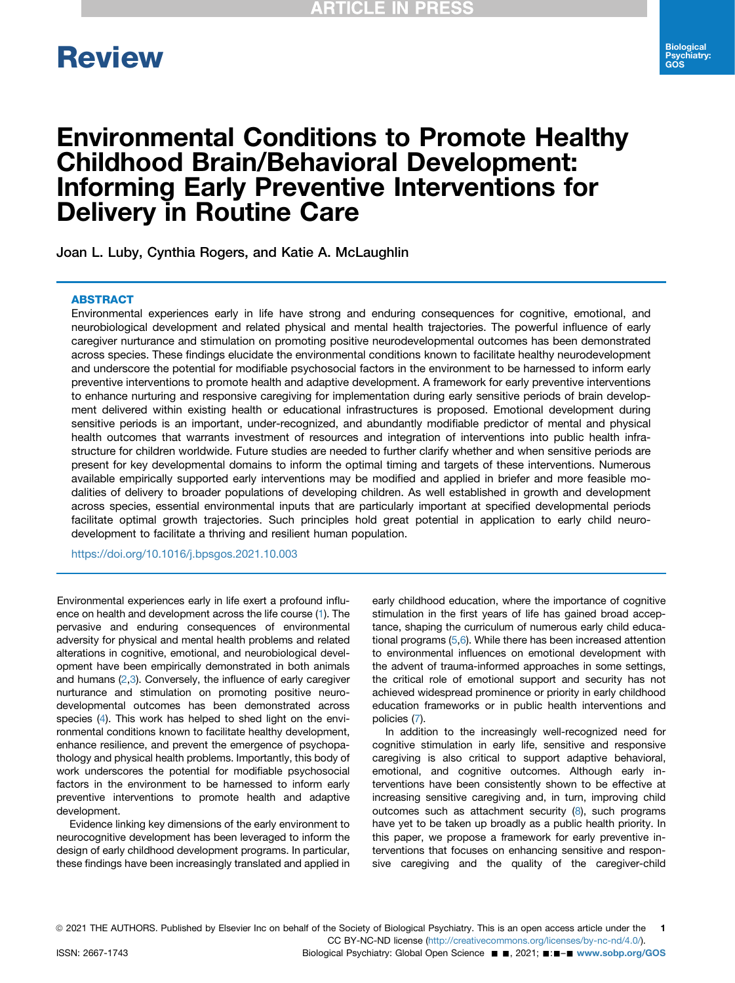# **Review** Review

# Environmental Conditions to Promote Healthy Childhood Brain/Behavioral Development: Informing Early Preventive Interventions for Delivery in Routine Care

Joan L. Luby, Cynthia Rogers, and Katie A. McLaughlin

### **ABSTRACT**

ABSTRACT Environmental experiences early in life have strong and enduring consequences for cognitive, emotional, and neurobiological development and related physical and mental health trajectories. The powerful influence of early caregiver nurturance and stimulation on promoting positive neurodevelopmental outcomes has been demonstrated across species. These findings elucidate the environmental conditions known to facilitate healthy neurodevelopment and underscore the potential for modifiable psychosocial factors in the environment to be harnessed to inform early preventive interventions to promote health and adaptive development. A framework for early preventive interventions to enhance nurturing and responsive caregiving for implementation during early sensitive periods of brain development delivered within existing health or educational infrastructures is proposed. Emotional development during sensitive periods is an important, under-recognized, and abundantly modifiable predictor of mental and physical health outcomes that warrants investment of resources and integration of interventions into public health infrastructure for children worldwide. Future studies are needed to further clarify whether and when sensitive periods are present for key developmental domains to inform the optimal timing and targets of these interventions. Numerous available empirically supported early interventions may be modified and applied in briefer and more feasible modalities of delivery to broader populations of developing children. As well established in growth and development across species, essential environmental inputs that are particularly important at specified developmental periods facilitate optimal growth trajectories. Such principles hold great potential in application to early child neurodevelopment to facilitate a thriving and resilient human population.

<https://doi.org/10.1016/j.bpsgos.2021.10.003>

Environmental experiences early in life exert a profound influence on health and development across the life course [\(1\)](#page-5-0). The pervasive and enduring consequences of environmental adversity for physical and mental health problems and related alterations in cognitive, emotional, and neurobiological development have been empirically demonstrated in both animals and humans  $(2,3)$  $(2,3)$  $(2,3)$  $(2,3)$  $(2,3)$ . Conversely, the influence of early caregiver nurturance and stimulation on promoting positive neurodevelopmental outcomes has been demonstrated across species [\(4](#page-6-2)). This work has helped to shed light on the environmental conditions known to facilitate healthy development, enhance resilience, and prevent the emergence of psychopathology and physical health problems. Importantly, this body of work underscores the potential for modifiable psychosocial factors in the environment to be harnessed to inform early preventive interventions to promote health and adaptive development.

Evidence linking key dimensions of the early environment to neurocognitive development has been leveraged to inform the design of early childhood development programs. In particular, these findings have been increasingly translated and applied in

early childhood education, where the importance of cognitive stimulation in the first years of life has gained broad acceptance, shaping the curriculum of numerous early child educational programs [\(5](#page-6-3)[,6](#page-6-4)). While there has been increased attention to environmental influences on emotional development with the advent of trauma-informed approaches in some settings, the critical role of emotional support and security has not achieved widespread prominence or priority in early childhood education frameworks or in public health interventions and policies ([7\)](#page-6-5).

In addition to the increasingly well-recognized need for cognitive stimulation in early life, sensitive and responsive caregiving is also critical to support adaptive behavioral, emotional, and cognitive outcomes. Although early interventions have been consistently shown to be effective at increasing sensitive caregiving and, in turn, improving child outcomes such as attachment security ([8](#page-6-6)), such programs have yet to be taken up broadly as a public health priority. In this paper, we propose a framework for early preventive interventions that focuses on enhancing sensitive and responsive caregiving and the quality of the caregiver-child

ISSN: 2667-1743 **Biological Psychiatry: Global Open Science** ■ ■, 2021; ■:■-■ [www.sobp.org/GOS](http://www.sobp.org/GOS)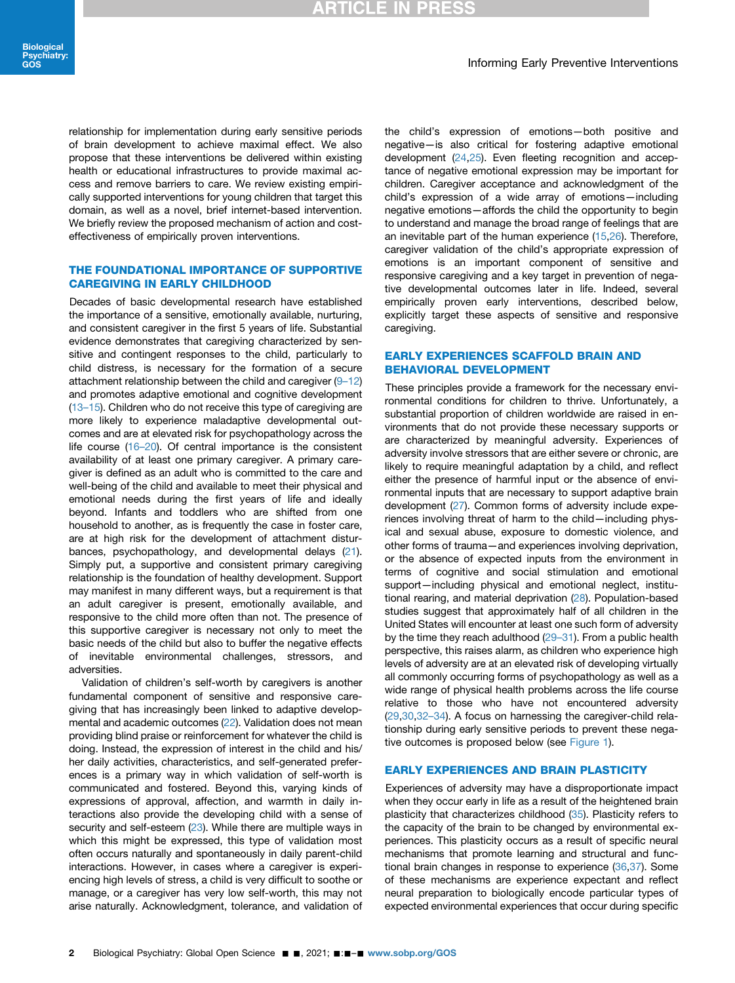relationship for implementation during early sensitive periods of brain development to achieve maximal effect. We also propose that these interventions be delivered within existing health or educational infrastructures to provide maximal access and remove barriers to care. We review existing empirically supported interventions for young children that target this domain, as well as a novel, brief internet-based intervention. We briefly review the proposed mechanism of action and costeffectiveness of empirically proven interventions.

# THE FOUNDATIONAL IMPORTANCE OF SUPPORTIVE<br>CAREGIVING IN EARLY CHILDHOOD

Decades of basic developmental research have established the importance of a sensitive, emotionally available, nurturing, and consistent caregiver in the first 5 years of life. Substantial evidence demonstrates that caregiving characterized by sensitive and contingent responses to the child, particularly to child distress, is necessary for the formation of a secure attachment relationship between the child and caregiver  $(9-12)$  $(9-12)$  $(9-12)$ and promotes adaptive emotional and cognitive development (13–[15\)](#page-6-8). Children who do not receive this type of caregiving are more likely to experience maladaptive developmental outcomes and are at elevated risk for psychopathology across the life course (16–[20\)](#page-6-9). Of central importance is the consistent availability of at least one primary caregiver. A primary caregiver is defined as an adult who is committed to the care and well-being of the child and available to meet their physical and emotional needs during the first years of life and ideally beyond. Infants and toddlers who are shifted from one household to another, as is frequently the case in foster care, are at high risk for the development of attachment disturbances, psychopathology, and developmental delays ([21](#page-6-10)). Simply put, a supportive and consistent primary caregiving relationship is the foundation of healthy development. Support may manifest in many different ways, but a requirement is that an adult caregiver is present, emotionally available, and responsive to the child more often than not. The presence of this supportive caregiver is necessary not only to meet the basic needs of the child but also to buffer the negative effects of inevitable environmental challenges, stressors, and adversities.

Validation of children's self-worth by caregivers is another fundamental component of sensitive and responsive caregiving that has increasingly been linked to adaptive developmental and academic outcomes [\(22\)](#page-6-11). Validation does not mean providing blind praise or reinforcement for whatever the child is doing. Instead, the expression of interest in the child and his/ her daily activities, characteristics, and self-generated preferences is a primary way in which validation of self-worth is communicated and fostered. Beyond this, varying kinds of expressions of approval, affection, and warmth in daily interactions also provide the developing child with a sense of security and self-esteem [\(23\)](#page-6-12). While there are multiple ways in which this might be expressed, this type of validation most often occurs naturally and spontaneously in daily parent-child interactions. However, in cases where a caregiver is experiencing high levels of stress, a child is very difficult to soothe or manage, or a caregiver has very low self-worth, this may not arise naturally. Acknowledgment, tolerance, and validation of the child's expression of emotions—both positive and negative—is also critical for fostering adaptive emotional development [\(24](#page-6-13),[25](#page-6-14)). Even fleeting recognition and acceptance of negative emotional expression may be important for children. Caregiver acceptance and acknowledgment of the child's expression of a wide array of emotions—including negative emotions—affords the child the opportunity to begin to understand and manage the broad range of feelings that are an inevitable part of the human experience ([15](#page-6-15)[,26\)](#page-6-16). Therefore, caregiver validation of the child's appropriate expression of emotions is an important component of sensitive and responsive caregiving and a key target in prevention of negative developmental outcomes later in life. Indeed, several empirically proven early interventions, described below, explicitly target these aspects of sensitive and responsive caregiving.

### **EARLY EXPERIENCES SCAFFOLD BRAIN AND BEHAVIORAL DEVELOPMENT**

These principles provide a framework for the necessary environmental conditions for children to thrive. Unfortunately, a substantial proportion of children worldwide are raised in environments that do not provide these necessary supports or are characterized by meaningful adversity. Experiences of adversity involve stressors that are either severe or chronic, are likely to require meaningful adaptation by a child, and reflect either the presence of harmful input or the absence of environmental inputs that are necessary to support adaptive brain development ([27\)](#page-6-17). Common forms of adversity include experiences involving threat of harm to the child—including physical and sexual abuse, exposure to domestic violence, and other forms of trauma—and experiences involving deprivation, or the absence of expected inputs from the environment in terms of cognitive and social stimulation and emotional support—including physical and emotional neglect, institutional rearing, and material deprivation ([28](#page-6-18)). Population-based studies suggest that approximately half of all children in the United States will encounter at least one such form of adversity by the time they reach adulthood (29–[31\)](#page-6-19). From a public health perspective, this raises alarm, as children who experience high levels of adversity are at an elevated risk of developing virtually all commonly occurring forms of psychopathology as well as a wide range of physical health problems across the life course relative to those who have not encountered adversity [\(29,](#page-6-19)[30](#page-6-20),32–[34\)](#page-6-21). A focus on harnessing the caregiver-child relationship during early sensitive periods to prevent these negative outcomes is proposed below (see [Figure 1\)](#page-2-0).

EXPERIENCES AND BRAIN PLASTICITY OF AND BRAIN PLASTICITY OF ANDREW PLASTICITY OF ANDREW PLASTICITY OF ANDREW PLASTICITY OF ANDREW PLASTICITY OF ANDREW PLASTICITY OF ANDREW PLASTICITY OF ANDREW PLASTICITY OF ANDREW PLASTICI when they occur early in life as a result of the heightened brain plasticity that characterizes childhood ([35](#page-6-22)). Plasticity refers to the capacity of the brain to be changed by environmental experiences. This plasticity occurs as a result of specific neural mechanisms that promote learning and structural and functional brain changes in response to experience ([36](#page-6-23)[,37\)](#page-6-24). Some of these mechanisms are experience expectant and reflect neural preparation to biologically encode particular types of expected environmental experiences that occur during specific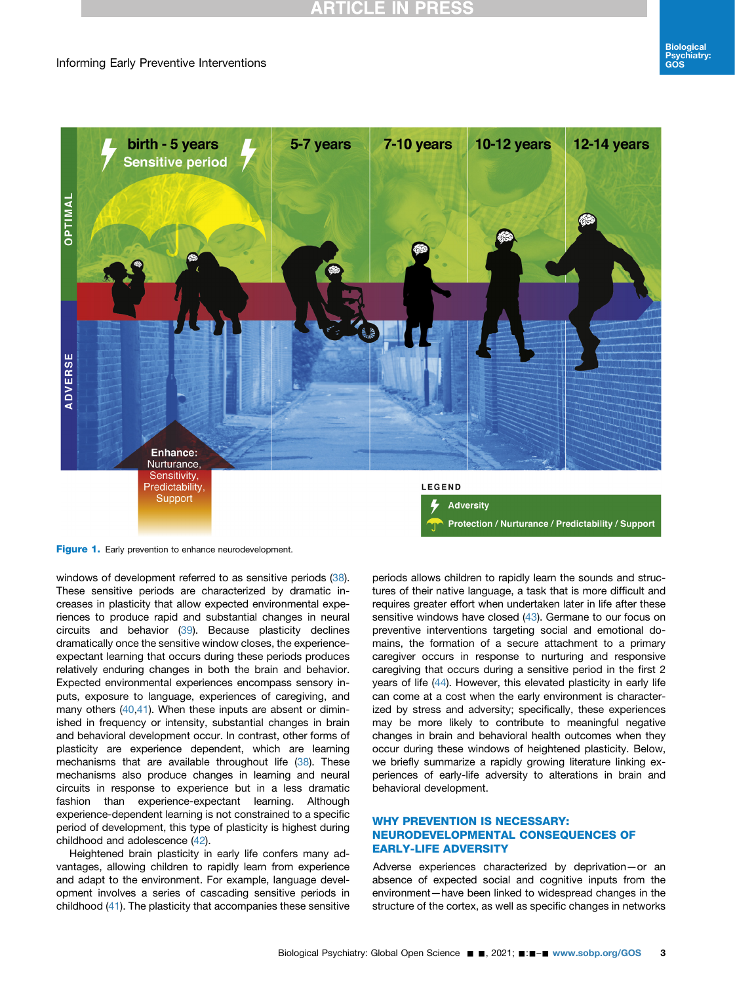## Informing Early Preventive Interventions

<span id="page-2-0"></span>

Figure 1. Early prevention to enhance neurodevelopment.

windows of development referred to as sensitive periods ([38](#page-6-25)). These sensitive periods are characterized by dramatic increases in plasticity that allow expected environmental experiences to produce rapid and substantial changes in neural circuits and behavior [\(39](#page-6-26)). Because plasticity declines dramatically once the sensitive window closes, the experienceexpectant learning that occurs during these periods produces relatively enduring changes in both the brain and behavior. Expected environmental experiences encompass sensory inputs, exposure to language, experiences of caregiving, and many others [\(40,](#page-6-27)[41](#page-6-28)). When these inputs are absent or diminished in frequency or intensity, substantial changes in brain and behavioral development occur. In contrast, other forms of plasticity are experience dependent, which are learning mechanisms that are available throughout life ([38](#page-6-25)). These mechanisms also produce changes in learning and neural circuits in response to experience but in a less dramatic fashion than experience-expectant learning. Although experience-dependent learning is not constrained to a specific period of development, this type of plasticity is highest during childhood and adolescence [\(42\)](#page-6-29).

Heightened brain plasticity in early life confers many advantages, allowing children to rapidly learn from experience and adapt to the environment. For example, language development involves a series of cascading sensitive periods in childhood [\(41\)](#page-6-28). The plasticity that accompanies these sensitive

periods allows children to rapidly learn the sounds and structures of their native language, a task that is more difficult and requires greater effort when undertaken later in life after these sensitive windows have closed [\(43\)](#page-6-30). Germane to our focus on preventive interventions targeting social and emotional domains, the formation of a secure attachment to a primary caregiver occurs in response to nurturing and responsive caregiving that occurs during a sensitive period in the first 2 years of life ([44](#page-6-31)). However, this elevated plasticity in early life can come at a cost when the early environment is characterized by stress and adversity; specifically, these experiences may be more likely to contribute to meaningful negative changes in brain and behavioral health outcomes when they occur during these windows of heightened plasticity. Below, we briefly summarize a rapidly growing literature linking experiences of early-life adversity to alterations in brain and behavioral development.

# WHY PREVENTION IS NECESSARY:<br>NEURODEVELOPMENTAL CONSEQUENCES OF **EARLY-LIFE ADVERSITY**

EARLY-LIFE ADVERSITY Adverse experiences characterized by deprivation—or an absence of expected social and cognitive inputs from the environment—have been linked to widespread changes in the structure of the cortex, as well as specific changes in networks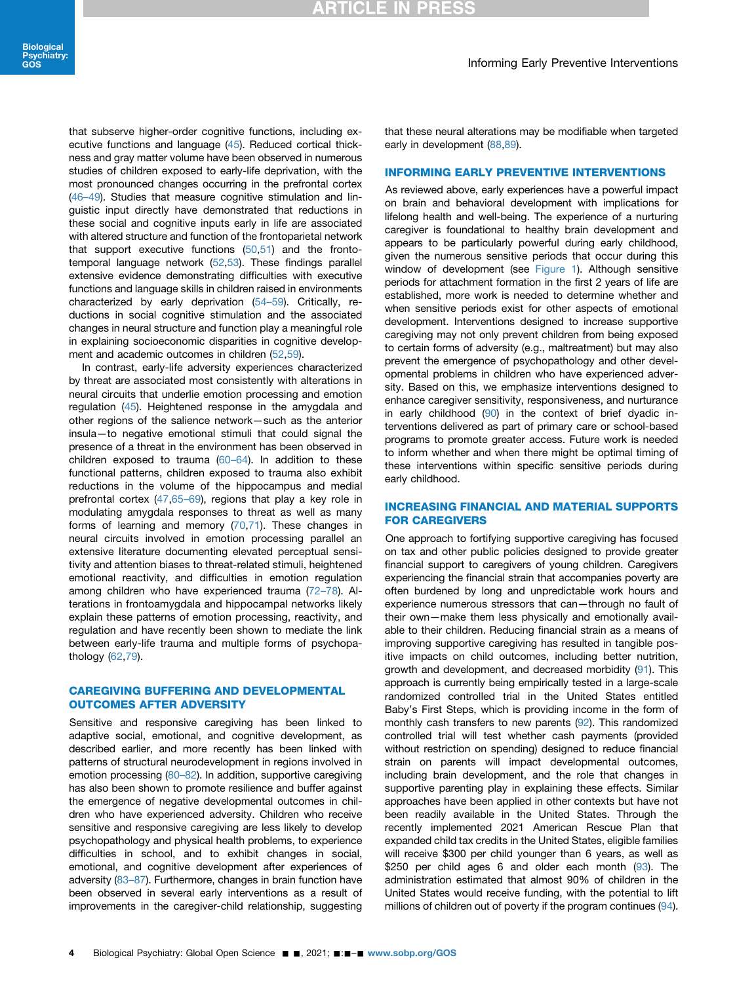that subserve higher-order cognitive functions, including executive functions and language [\(45\)](#page-6-32). Reduced cortical thickness and gray matter volume have been observed in numerous studies of children exposed to early-life deprivation, with the most pronounced changes occurring in the prefrontal cortex (46–[49\)](#page-6-33). Studies that measure cognitive stimulation and linguistic input directly have demonstrated that reductions in these social and cognitive inputs early in life are associated with altered structure and function of the frontoparietal network that support executive functions [\(50,](#page-7-0)[51](#page-7-1)) and the frontotemporal language network [\(52,](#page-7-2)[53](#page-7-3)). These findings parallel extensive evidence demonstrating difficulties with executive functions and language skills in children raised in environments characterized by early deprivation (54–[59\)](#page-7-4). Critically, reductions in social cognitive stimulation and the associated changes in neural structure and function play a meaningful role in explaining socioeconomic disparities in cognitive development and academic outcomes in children ([52](#page-7-2),[59\)](#page-7-5).

In contrast, early-life adversity experiences characterized by threat are associated most consistently with alterations in neural circuits that underlie emotion processing and emotion regulation [\(45\)](#page-6-32). Heightened response in the amygdala and other regions of the salience network—such as the anterior insula—to negative emotional stimuli that could signal the presence of a threat in the environment has been observed in children exposed to trauma  $(60-64)$  $(60-64)$ . In addition to these functional patterns, children exposed to trauma also exhibit reductions in the volume of the hippocampus and medial prefrontal cortex ([47](#page-7-7),65-[69\)](#page-7-8), regions that play a key role in modulating amygdala responses to threat as well as many forms of learning and memory ([70](#page-7-9),[71](#page-7-10)). These changes in neural circuits involved in emotion processing parallel an extensive literature documenting elevated perceptual sensitivity and attention biases to threat-related stimuli, heightened emotional reactivity, and difficulties in emotion regulation among children who have experienced trauma (72–[78](#page-7-11)). Alterations in frontoamygdala and hippocampal networks likely explain these patterns of emotion processing, reactivity, and regulation and have recently been shown to mediate the link between early-life trauma and multiple forms of psychopathology [\(62,](#page-7-12)[79](#page-7-13)).

# CAREGIVING BUFFERING AND DEVELOPMENTAL

Sensitive and responsive caregiving has been linked to adaptive social, emotional, and cognitive development, as described earlier, and more recently has been linked with patterns of structural neurodevelopment in regions involved in emotion processing (80-[82\)](#page-7-14). In addition, supportive caregiving has also been shown to promote resilience and buffer against the emergence of negative developmental outcomes in children who have experienced adversity. Children who receive sensitive and responsive caregiving are less likely to develop psychopathology and physical health problems, to experience difficulties in school, and to exhibit changes in social, emotional, and cognitive development after experiences of adversity [\(83](#page-8-0)–87). Furthermore, changes in brain function have been observed in several early interventions as a result of improvements in the caregiver-child relationship, suggesting

that these neural alterations may be modifiable when targeted early in development [\(88](#page-8-1),[89\)](#page-8-2).

### **INFORMING EARLY PREVENTIVE INTERVENTIONS**

As reviewed above, early experiences have a powerful impact on brain and behavioral development with implications for lifelong health and well-being. The experience of a nurturing caregiver is foundational to healthy brain development and appears to be particularly powerful during early childhood, given the numerous sensitive periods that occur during this window of development (see [Figure 1](#page-2-0)). Although sensitive periods for attachment formation in the first 2 years of life are established, more work is needed to determine whether and when sensitive periods exist for other aspects of emotional development. Interventions designed to increase supportive caregiving may not only prevent children from being exposed to certain forms of adversity (e.g., maltreatment) but may also prevent the emergence of psychopathology and other developmental problems in children who have experienced adversity. Based on this, we emphasize interventions designed to enhance caregiver sensitivity, responsiveness, and nurturance in early childhood ([90](#page-8-3)) in the context of brief dyadic interventions delivered as part of primary care or school-based programs to promote greater access. Future work is needed to inform whether and when there might be optimal timing of these interventions within specific sensitive periods during early childhood.

# INCREASING FINANCIAL AND MATERIAL SUPPORTS

The concent care with the caregiving has focused<br>One approach to fortifying supportive caregiving has focused on tax and other public policies designed to provide greater financial support to caregivers of young children. Caregivers experiencing the financial strain that accompanies poverty are often burdened by long and unpredictable work hours and experience numerous stressors that can—through no fault of their own—make them less physically and emotionally available to their children. Reducing financial strain as a means of improving supportive caregiving has resulted in tangible positive impacts on child outcomes, including better nutrition, growth and development, and decreased morbidity [\(91\)](#page-8-4). This approach is currently being empirically tested in a large-scale randomized controlled trial in the United States entitled Baby's First Steps, which is providing income in the form of monthly cash transfers to new parents ([92](#page-8-5)). This randomized controlled trial will test whether cash payments (provided without restriction on spending) designed to reduce financial strain on parents will impact developmental outcomes, including brain development, and the role that changes in supportive parenting play in explaining these effects. Similar approaches have been applied in other contexts but have not been readily available in the United States. Through the recently implemented 2021 American Rescue Plan that expanded child tax credits in the United States, eligible families will receive \$300 per child younger than 6 years, as well as \$250 per child ages 6 and older each month [\(93\)](#page-8-6). The administration estimated that almost 90% of children in the United States would receive funding, with the potential to lift millions of children out of poverty if the program continues [\(94\)](#page-8-7).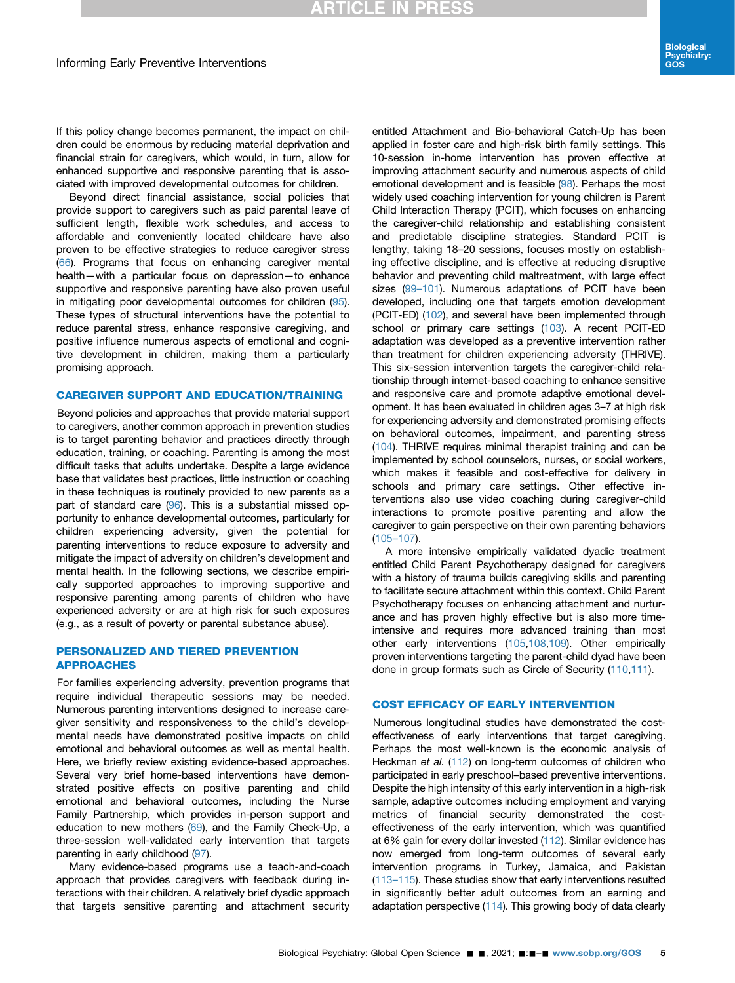If this policy change becomes permanent, the impact on children could be enormous by reducing material deprivation and financial strain for caregivers, which would, in turn, allow for enhanced supportive and responsive parenting that is associated with improved developmental outcomes for children.

Beyond direct financial assistance, social policies that provide support to caregivers such as paid parental leave of sufficient length, flexible work schedules, and access to affordable and conveniently located childcare have also proven to be effective strategies to reduce caregiver stress ([66](#page-7-15)). Programs that focus on enhancing caregiver mental health—with a particular focus on depression—to enhance supportive and responsive parenting have also proven useful in mitigating poor developmental outcomes for children ([95](#page-8-8)). These types of structural interventions have the potential to reduce parental stress, enhance responsive caregiving, and positive influence numerous aspects of emotional and cognitive development in children, making them a particularly promising approach.

CAREGIVER SUPPORT AND EDUCATION/TRAINING Beyond policies and approaches that provide material support to caregivers, another common approach in prevention studies is to target parenting behavior and practices directly through education, training, or coaching. Parenting is among the most difficult tasks that adults undertake. Despite a large evidence base that validates best practices, little instruction or coaching in these techniques is routinely provided to new parents as a part of standard care [\(96\)](#page-8-9). This is a substantial missed opportunity to enhance developmental outcomes, particularly for children experiencing adversity, given the potential for parenting interventions to reduce exposure to adversity and mitigate the impact of adversity on children's development and mental health. In the following sections, we describe empirically supported approaches to improving supportive and responsive parenting among parents of children who have experienced adversity or are at high risk for such exposures (e.g., as a result of poverty or parental substance abuse).

### **PERSONALIZED AND TIERED PREVENTION APPROACHES**

For families experiencing adversity, prevention programs that require individual therapeutic sessions may be needed. Numerous parenting interventions designed to increase caregiver sensitivity and responsiveness to the child's developmental needs have demonstrated positive impacts on child emotional and behavioral outcomes as well as mental health. Here, we briefly review existing evidence-based approaches. Several very brief home-based interventions have demonstrated positive effects on positive parenting and child emotional and behavioral outcomes, including the Nurse Family Partnership, which provides in-person support and education to new mothers  $(69)$  $(69)$  $(69)$ , and the Family Check-Up, a three-session well-validated early intervention that targets parenting in early childhood [\(97](#page-8-10)).

Many evidence-based programs use a teach-and-coach approach that provides caregivers with feedback during interactions with their children. A relatively brief dyadic approach that targets sensitive parenting and attachment security

entitled Attachment and Bio-behavioral Catch-Up has been applied in foster care and high-risk birth family settings. This 10-session in-home intervention has proven effective at improving attachment security and numerous aspects of child emotional development and is feasible ([98\)](#page-8-11). Perhaps the most widely used coaching intervention for young children is Parent Child Interaction Therapy (PCIT), which focuses on enhancing the caregiver-child relationship and establishing consistent and predictable discipline strategies. Standard PCIT is lengthy, taking 18–20 sessions, focuses mostly on establishing effective discipline, and is effective at reducing disruptive behavior and preventing child maltreatment, with large effect sizes (99-[101](#page-8-12)). Numerous adaptations of PCIT have been developed, including one that targets emotion development (PCIT-ED) ([102\)](#page-8-13), and several have been implemented through school or primary care settings ([103](#page-8-14)). A recent PCIT-ED adaptation was developed as a preventive intervention rather than treatment for children experiencing adversity (THRIVE). This six-session intervention targets the caregiver-child relationship through internet-based coaching to enhance sensitive and responsive care and promote adaptive emotional development. It has been evaluated in children ages 3–7 at high risk for experiencing adversity and demonstrated promising effects on behavioral outcomes, impairment, and parenting stress [\(104\)](#page-8-15). THRIVE requires minimal therapist training and can be implemented by school counselors, nurses, or social workers, which makes it feasible and cost-effective for delivery in schools and primary care settings. Other effective interventions also use video coaching during caregiver-child interactions to promote positive parenting and allow the caregiver to gain perspective on their own parenting behaviors [\(105](#page-8-16)–107).

A more intensive empirically validated dyadic treatment entitled Child Parent Psychotherapy designed for caregivers with a history of trauma builds caregiving skills and parenting to facilitate secure attachment within this context. Child Parent Psychotherapy focuses on enhancing attachment and nurturance and has proven highly effective but is also more timeintensive and requires more advanced training than most other early interventions [\(105](#page-8-16),[108,](#page-8-17)[109](#page-8-18)). Other empirically proven interventions targeting the parent-child dyad have been done in group formats such as Circle of Security [\(110](#page-8-19)[,111](#page-8-20)).

Numerous longitudinal studies have demonstrated the costeffectiveness of early interventions that target caregiving. Perhaps the most well-known is the economic analysis of Heckman et al. [\(112](#page-8-21)) on long-term outcomes of children who participated in early preschool–based preventive interventions. Despite the high intensity of this early intervention in a high-risk sample, adaptive outcomes including employment and varying metrics of financial security demonstrated the costeffectiveness of the early intervention, which was quantified at 6% gain for every dollar invested ([112\)](#page-8-21). Similar evidence has now emerged from long-term outcomes of several early intervention programs in Turkey, Jamaica, and Pakistan [\(113](#page-8-22)–115). These studies show that early interventions resulted in significantly better adult outcomes from an earning and adaptation perspective [\(114](#page-8-23)). This growing body of data clearly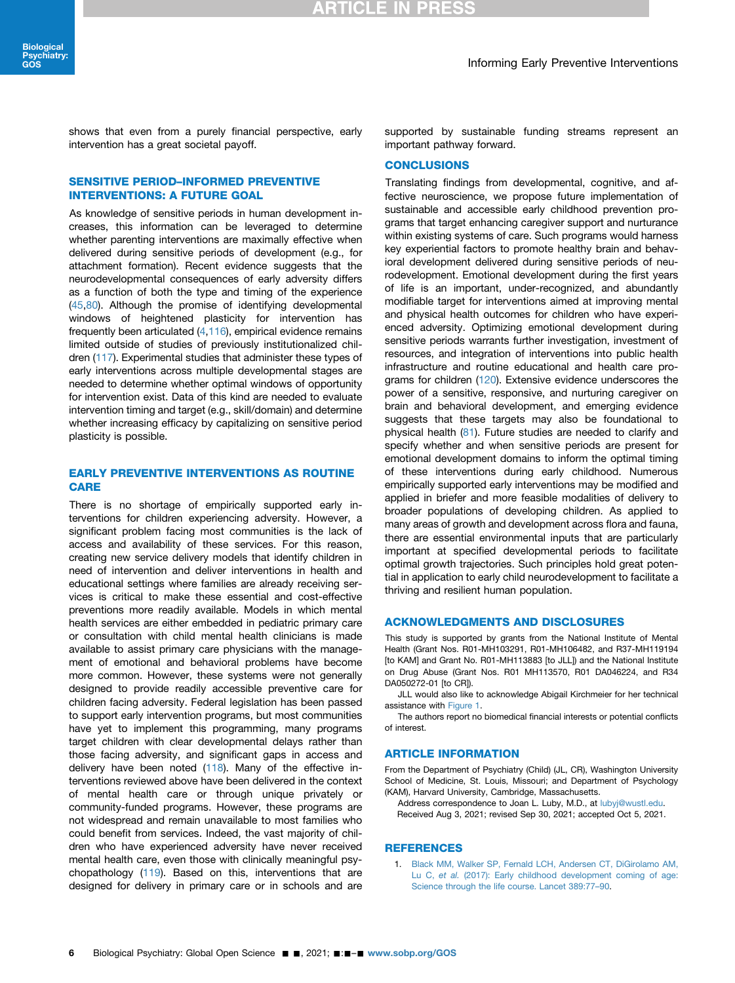shows that even from a purely financial perspective, early intervention has a great societal payoff.

# SENSITIVE PERIOD-INFORMED PREVENTIVE<br>INTERVENTIONS: A FUTURE GOAL

As knowledge of sensitive periods in human development increases, this information can be leveraged to determine whether parenting interventions are maximally effective when delivered during sensitive periods of development (e.g., for attachment formation). Recent evidence suggests that the neurodevelopmental consequences of early adversity differs as a function of both the type and timing of the experience ([45](#page-6-32),[80\)](#page-7-14). Although the promise of identifying developmental windows of heightened plasticity for intervention has frequently been articulated ([4,](#page-6-2)[116\)](#page-8-24), empirical evidence remains limited outside of studies of previously institutionalized children [\(117](#page-8-25)). Experimental studies that administer these types of early interventions across multiple developmental stages are needed to determine whether optimal windows of opportunity for intervention exist. Data of this kind are needed to evaluate intervention timing and target (e.g., skill/domain) and determine whether increasing efficacy by capitalizing on sensitive period plasticity is possible.

## **EARLY PREVENTIVE INTERVENTIONS AS ROUTINE** CARE<br>CARE

There is no shortage of empirically supported early interventions for children experiencing adversity. However, a significant problem facing most communities is the lack of access and availability of these services. For this reason, creating new service delivery models that identify children in need of intervention and deliver interventions in health and educational settings where families are already receiving services is critical to make these essential and cost-effective preventions more readily available. Models in which mental health services are either embedded in pediatric primary care or consultation with child mental health clinicians is made available to assist primary care physicians with the management of emotional and behavioral problems have become more common. However, these systems were not generally designed to provide readily accessible preventive care for children facing adversity. Federal legislation has been passed to support early intervention programs, but most communities have yet to implement this programming, many programs target children with clear developmental delays rather than those facing adversity, and significant gaps in access and delivery have been noted ([118\)](#page-8-26). Many of the effective interventions reviewed above have been delivered in the context of mental health care or through unique privately or community-funded programs. However, these programs are not widespread and remain unavailable to most families who could benefit from services. Indeed, the vast majority of children who have experienced adversity have never received mental health care, even those with clinically meaningful psychopathology ([119\)](#page-8-27). Based on this, interventions that are designed for delivery in primary care or in schools and are

supported by sustainable funding streams represent an important pathway forward.

Translating findings from developmental, cognitive, and affective neuroscience, we propose future implementation of sustainable and accessible early childhood prevention programs that target enhancing caregiver support and nurturance within existing systems of care. Such programs would harness key experiential factors to promote healthy brain and behavioral development delivered during sensitive periods of neurodevelopment. Emotional development during the first years of life is an important, under-recognized, and abundantly modifiable target for interventions aimed at improving mental and physical health outcomes for children who have experienced adversity. Optimizing emotional development during sensitive periods warrants further investigation, investment of resources, and integration of interventions into public health infrastructure and routine educational and health care programs for children ([120](#page-8-28)). Extensive evidence underscores the power of a sensitive, responsive, and nurturing caregiver on brain and behavioral development, and emerging evidence suggests that these targets may also be foundational to physical health ([81\)](#page-7-17). Future studies are needed to clarify and specify whether and when sensitive periods are present for emotional development domains to inform the optimal timing of these interventions during early childhood. Numerous empirically supported early interventions may be modified and applied in briefer and more feasible modalities of delivery to broader populations of developing children. As applied to many areas of growth and development across flora and fauna, there are essential environmental inputs that are particularly important at specified developmental periods to facilitate optimal growth trajectories. Such principles hold great potential in application to early child neurodevelopment to facilitate a thriving and resilient human population.

This study is supported by grants from the National Institute of Mental Health (Grant Nos. R01-MH103291, R01-MH106482, and R37-MH119194 [to KAM] and Grant No. R01-MH113883 [to JLL]) and the National Institute on Drug Abuse (Grant Nos. R01 MH113570, R01 DA046224, and R34 DA050272-01 [to CR]).

JLL would also like to acknowledge Abigail Kirchmeier for her technical assistance with [Figure 1](#page-2-0).

The authors report no biomedical financial interests or potential conflicts of interest.

From the Department of Psychiatry (Child) (JL, CR), Washington University School of Medicine, St. Louis, Missouri; and Department of Psychology (KAM), Harvard University, Cambridge, Massachusetts.

Address correspondence to Joan L. Luby, M.D., at [lubyj@wustl.edu.](mailto:lubyj@wustl.edu) Received Aug 3, 2021; revised Sep 30, 2021; accepted Oct 5, 2021.

### **REFERENCES**

<span id="page-5-0"></span>1. [Black MM, Walker SP, Fernald LCH, Andersen CT, DiGirolamo AM,](http://refhub.elsevier.com/S2667-1743(21)00120-8/sref1) Lu C, et al. [\(2017\): Early childhood development coming of age:](http://refhub.elsevier.com/S2667-1743(21)00120-8/sref1) [Science through the life course. Lancet 389:77](http://refhub.elsevier.com/S2667-1743(21)00120-8/sref1)–90.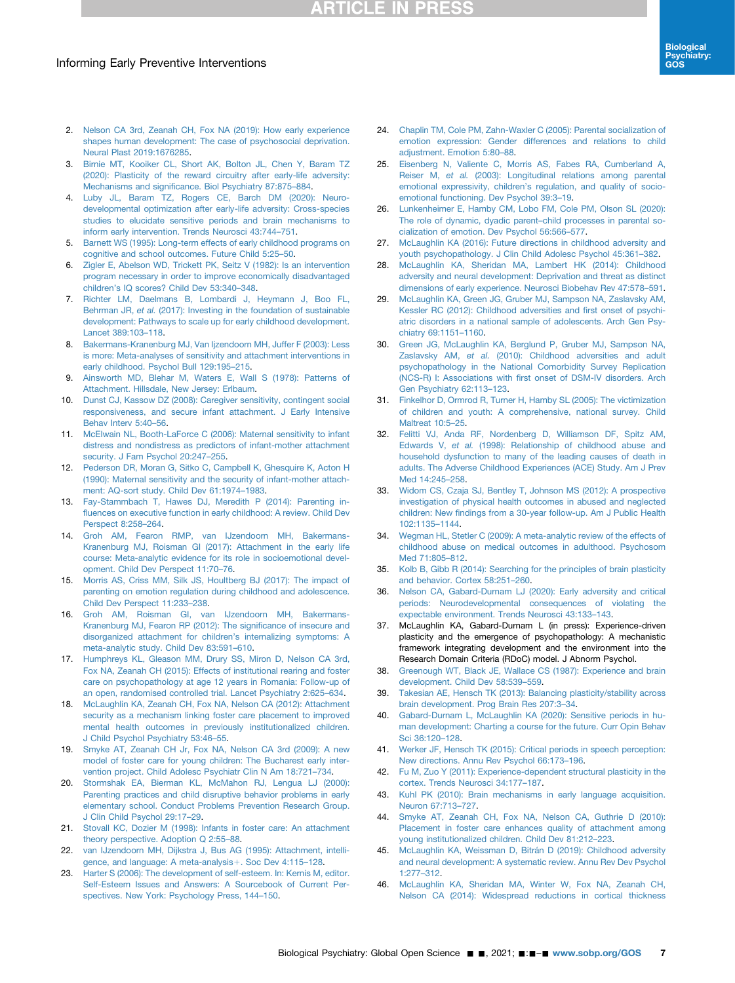## Informing Early Preventive Interventions

- <span id="page-6-0"></span>2. [Nelson CA 3rd, Zeanah CH, Fox NA \(2019\): How early experience](http://refhub.elsevier.com/S2667-1743(21)00120-8/sref2) [shapes human development: The case of psychosocial deprivation.](http://refhub.elsevier.com/S2667-1743(21)00120-8/sref2) [Neural Plast 2019:1676285.](http://refhub.elsevier.com/S2667-1743(21)00120-8/sref2)
- <span id="page-6-1"></span>3. [Birnie MT, Kooiker CL, Short AK, Bolton JL, Chen Y, Baram TZ](http://refhub.elsevier.com/S2667-1743(21)00120-8/sref3) [\(2020\): Plasticity of the reward circuitry after early-life adversity:](http://refhub.elsevier.com/S2667-1743(21)00120-8/sref3) Mechanisms and signifi[cance. Biol Psychiatry 87:875](http://refhub.elsevier.com/S2667-1743(21)00120-8/sref3)–884.
- <span id="page-6-2"></span>4. [Luby JL, Baram TZ, Rogers CE, Barch DM \(2020\): Neuro](http://refhub.elsevier.com/S2667-1743(21)00120-8/sref4)[developmental optimization after early-life adversity: Cross-species](http://refhub.elsevier.com/S2667-1743(21)00120-8/sref4) [studies to elucidate sensitive periods and brain mechanisms to](http://refhub.elsevier.com/S2667-1743(21)00120-8/sref4) [inform early intervention. Trends Neurosci 43:744](http://refhub.elsevier.com/S2667-1743(21)00120-8/sref4)–751.
- <span id="page-6-3"></span>5. [Barnett WS \(1995\): Long-term effects of early childhood programs on](http://refhub.elsevier.com/S2667-1743(21)00120-8/sref5) [cognitive and school outcomes. Future Child 5:25](http://refhub.elsevier.com/S2667-1743(21)00120-8/sref5)–50.
- <span id="page-6-4"></span>6. [Zigler E, Abelson WD, Trickett PK, Seitz V \(1982\): Is an intervention](http://refhub.elsevier.com/S2667-1743(21)00120-8/sref6) [program necessary in order to improve economically disadvantaged](http://refhub.elsevier.com/S2667-1743(21)00120-8/sref6) children'[s IQ scores? Child Dev 53:340](http://refhub.elsevier.com/S2667-1743(21)00120-8/sref6)–348.
- <span id="page-6-5"></span>7. [Richter LM, Daelmans B, Lombardi J, Heymann J, Boo FL,](http://refhub.elsevier.com/S2667-1743(21)00120-8/sref7) Behrman JR, et al. [\(2017\): Investing in the foundation of sustainable](http://refhub.elsevier.com/S2667-1743(21)00120-8/sref7) [development: Pathways to scale up for early childhood development.](http://refhub.elsevier.com/S2667-1743(21)00120-8/sref7) [Lancet 389:103](http://refhub.elsevier.com/S2667-1743(21)00120-8/sref7)–118.
- <span id="page-6-6"></span>8. [Bakermans-Kranenburg MJ, Van Ijzendoorn MH, Juffer F \(2003\): Less](http://refhub.elsevier.com/S2667-1743(21)00120-8/sref8) [is more: Meta-analyses of sensitivity and attachment interventions in](http://refhub.elsevier.com/S2667-1743(21)00120-8/sref8) [early childhood. Psychol Bull 129:195](http://refhub.elsevier.com/S2667-1743(21)00120-8/sref8)–215.
- <span id="page-6-7"></span>9. [Ainsworth MD, Blehar M, Waters E, Wall S \(1978\): Patterns of](http://refhub.elsevier.com/S2667-1743(21)00120-8/sref9) [Attachment. Hillsdale, New Jersey: Erlbaum.](http://refhub.elsevier.com/S2667-1743(21)00120-8/sref9)
- 10. [Dunst CJ, Kassow DZ \(2008\): Caregiver sensitivity, contingent social](http://refhub.elsevier.com/S2667-1743(21)00120-8/sref10) [responsiveness, and secure infant attachment. J Early Intensive](http://refhub.elsevier.com/S2667-1743(21)00120-8/sref10) [Behav Interv 5:40](http://refhub.elsevier.com/S2667-1743(21)00120-8/sref10)–56.
- 11. [McElwain NL, Booth-LaForce C \(2006\): Maternal sensitivity to infant](http://refhub.elsevier.com/S2667-1743(21)00120-8/sref11) [distress and nondistress as predictors of infant-mother attachment](http://refhub.elsevier.com/S2667-1743(21)00120-8/sref11) [security. J Fam Psychol 20:247](http://refhub.elsevier.com/S2667-1743(21)00120-8/sref11)-255.
- 12. [Pederson DR, Moran G, Sitko C, Campbell K, Ghesquire K, Acton H](http://refhub.elsevier.com/S2667-1743(21)00120-8/sref12) [\(1990\): Maternal sensitivity and the security of infant-mother attach](http://refhub.elsevier.com/S2667-1743(21)00120-8/sref12)[ment: AQ-sort study. Child Dev 61:1974](http://refhub.elsevier.com/S2667-1743(21)00120-8/sref12)–1983.
- <span id="page-6-8"></span>13. [Fay-Stammbach T, Hawes DJ, Meredith P \(2014\): Parenting in](http://refhub.elsevier.com/S2667-1743(21)00120-8/sref13)fl[uences on executive function in early childhood: A review. Child Dev](http://refhub.elsevier.com/S2667-1743(21)00120-8/sref13) [Perspect 8:258](http://refhub.elsevier.com/S2667-1743(21)00120-8/sref13)–264.
- 14. [Groh AM, Fearon RMP, van IJzendoorn MH, Bakermans-](http://refhub.elsevier.com/S2667-1743(21)00120-8/sref14)[Kranenburg MJ, Roisman GI \(2017\): Attachment in the early life](http://refhub.elsevier.com/S2667-1743(21)00120-8/sref14) [course: Meta-analytic evidence for its role in socioemotional devel](http://refhub.elsevier.com/S2667-1743(21)00120-8/sref14)[opment. Child Dev Perspect 11:70](http://refhub.elsevier.com/S2667-1743(21)00120-8/sref14)–76.
- <span id="page-6-15"></span>15. [Morris AS, Criss MM, Silk JS, Houltberg BJ \(2017\): The impact of](http://refhub.elsevier.com/S2667-1743(21)00120-8/sref15) [parenting on emotion regulation during childhood and adolescence.](http://refhub.elsevier.com/S2667-1743(21)00120-8/sref15) [Child Dev Perspect 11:233](http://refhub.elsevier.com/S2667-1743(21)00120-8/sref15)–238.
- <span id="page-6-9"></span>16. [Groh AM, Roisman GI, van IJzendoorn MH, Bakermans-](http://refhub.elsevier.com/S2667-1743(21)00120-8/sref16)[Kranenburg MJ, Fearon RP \(2012\): The signi](http://refhub.elsevier.com/S2667-1743(21)00120-8/sref16)ficance of insecure and [disorganized attachment for children](http://refhub.elsevier.com/S2667-1743(21)00120-8/sref16)'s internalizing symptoms: A [meta-analytic study. Child Dev 83:591](http://refhub.elsevier.com/S2667-1743(21)00120-8/sref16)–610.
- 17. [Humphreys KL, Gleason MM, Drury SS, Miron D, Nelson CA 3rd,](http://refhub.elsevier.com/S2667-1743(21)00120-8/sref17) [Fox NA, Zeanah CH \(2015\): Effects of institutional rearing and foster](http://refhub.elsevier.com/S2667-1743(21)00120-8/sref17) [care on psychopathology at age 12 years in Romania: Follow-up of](http://refhub.elsevier.com/S2667-1743(21)00120-8/sref17) [an open, randomised controlled trial. Lancet Psychiatry 2:625](http://refhub.elsevier.com/S2667-1743(21)00120-8/sref17)–634.
- 18. [McLaughlin KA, Zeanah CH, Fox NA, Nelson CA \(2012\): Attachment](http://refhub.elsevier.com/S2667-1743(21)00120-8/sref18) [security as a mechanism linking foster care placement to improved](http://refhub.elsevier.com/S2667-1743(21)00120-8/sref18) [mental health outcomes in previously institutionalized children.](http://refhub.elsevier.com/S2667-1743(21)00120-8/sref18) [J Child Psychol Psychiatry 53:46](http://refhub.elsevier.com/S2667-1743(21)00120-8/sref18)–55.
- 19. [Smyke AT, Zeanah CH Jr, Fox NA, Nelson CA 3rd \(2009\): A new](http://refhub.elsevier.com/S2667-1743(21)00120-8/sref19) [model of foster care for young children: The Bucharest early inter](http://refhub.elsevier.com/S2667-1743(21)00120-8/sref19)[vention project. Child Adolesc Psychiatr Clin N Am 18:721](http://refhub.elsevier.com/S2667-1743(21)00120-8/sref19)–734.
- 20. [Stormshak EA, Bierman KL, McMahon RJ, Lengua LJ \(2000\):](http://refhub.elsevier.com/S2667-1743(21)00120-8/sref20) [Parenting practices and child disruptive behavior problems in early](http://refhub.elsevier.com/S2667-1743(21)00120-8/sref20) [elementary school. Conduct Problems Prevention Research Group.](http://refhub.elsevier.com/S2667-1743(21)00120-8/sref20) [J Clin Child Psychol 29:17](http://refhub.elsevier.com/S2667-1743(21)00120-8/sref20)–29.
- <span id="page-6-10"></span>21. [Stovall KC, Dozier M \(1998\): Infants in foster care: An attachment](http://refhub.elsevier.com/S2667-1743(21)00120-8/sref21) [theory perspective. Adoption Q 2:55](http://refhub.elsevier.com/S2667-1743(21)00120-8/sref21)–88.
- <span id="page-6-11"></span>22. [van IJzendoorn MH, Dijkstra J, Bus AG \(1995\): Attachment, intelli](http://refhub.elsevier.com/S2667-1743(21)00120-8/sref22)[gence, and language: A meta-analysis](http://refhub.elsevier.com/S2667-1743(21)00120-8/sref22)+[. Soc Dev 4:115](http://refhub.elsevier.com/S2667-1743(21)00120-8/sref22)–128.
- <span id="page-6-12"></span>23. [Harter S \(2006\): The development of self-esteem. In: Kernis M, editor.](http://refhub.elsevier.com/S2667-1743(21)00120-8/sref23) [Self-Esteem Issues and Answers: A Sourcebook of Current Per](http://refhub.elsevier.com/S2667-1743(21)00120-8/sref23)[spectives. New York: Psychology Press, 144](http://refhub.elsevier.com/S2667-1743(21)00120-8/sref23)–150.
- <span id="page-6-13"></span>24. [Chaplin TM, Cole PM, Zahn-Waxler C \(2005\): Parental socialization of](http://refhub.elsevier.com/S2667-1743(21)00120-8/sref24) [emotion expression: Gender differences and relations to child](http://refhub.elsevier.com/S2667-1743(21)00120-8/sref24) [adjustment. Emotion 5:80](http://refhub.elsevier.com/S2667-1743(21)00120-8/sref24)–88.
- <span id="page-6-14"></span>25. [Eisenberg N, Valiente C, Morris AS, Fabes RA, Cumberland A,](http://refhub.elsevier.com/S2667-1743(21)00120-8/sref25) Reiser M, et al. [\(2003\): Longitudinal relations among parental](http://refhub.elsevier.com/S2667-1743(21)00120-8/sref25) emotional expressivity, children'[s regulation, and quality of socio](http://refhub.elsevier.com/S2667-1743(21)00120-8/sref25)[emotional functioning. Dev Psychol 39:3](http://refhub.elsevier.com/S2667-1743(21)00120-8/sref25)–19.
- <span id="page-6-16"></span>26. [Lunkenheimer E, Hamby CM, Lobo FM, Cole PM, Olson SL \(2020\):](http://refhub.elsevier.com/S2667-1743(21)00120-8/sref26) [The role of dynamic, dyadic parent](http://refhub.elsevier.com/S2667-1743(21)00120-8/sref26)–child processes in parental so[cialization of emotion. Dev Psychol 56:566](http://refhub.elsevier.com/S2667-1743(21)00120-8/sref26)–577.
- <span id="page-6-17"></span>27. [McLaughlin KA \(2016\): Future directions in childhood adversity and](http://refhub.elsevier.com/S2667-1743(21)00120-8/sref27) [youth psychopathology. J Clin Child Adolesc Psychol 45:361](http://refhub.elsevier.com/S2667-1743(21)00120-8/sref27)–382.
- <span id="page-6-18"></span>28. [McLaughlin KA, Sheridan MA, Lambert HK \(2014\): Childhood](http://refhub.elsevier.com/S2667-1743(21)00120-8/sref28) [adversity and neural development: Deprivation and threat as distinct](http://refhub.elsevier.com/S2667-1743(21)00120-8/sref28) [dimensions of early experience. Neurosci Biobehav Rev 47:578](http://refhub.elsevier.com/S2667-1743(21)00120-8/sref28)–591.
- <span id="page-6-19"></span>29. [McLaughlin KA, Green JG, Gruber MJ, Sampson NA, Zaslavsky AM,](http://refhub.elsevier.com/S2667-1743(21)00120-8/sref29) [Kessler RC \(2012\): Childhood adversities and](http://refhub.elsevier.com/S2667-1743(21)00120-8/sref29) first onset of psychi[atric disorders in a national sample of adolescents. Arch Gen Psy](http://refhub.elsevier.com/S2667-1743(21)00120-8/sref29)[chiatry 69:1151](http://refhub.elsevier.com/S2667-1743(21)00120-8/sref29)–1160.
- <span id="page-6-20"></span>30. [Green JG, McLaughlin KA, Berglund P, Gruber MJ, Sampson NA,](http://refhub.elsevier.com/S2667-1743(21)00120-8/sref30) Zaslavsky AM, et al. [\(2010\): Childhood adversities and adult](http://refhub.elsevier.com/S2667-1743(21)00120-8/sref30) [psychopathology in the National Comorbidity Survey Replication](http://refhub.elsevier.com/S2667-1743(21)00120-8/sref30) (NCS-R) I: Associations with fi[rst onset of DSM-IV disorders. Arch](http://refhub.elsevier.com/S2667-1743(21)00120-8/sref30) [Gen Psychiatry 62:113](http://refhub.elsevier.com/S2667-1743(21)00120-8/sref30)–123.
- 31. [Finkelhor D, Ormrod R, Turner H, Hamby SL \(2005\): The victimization](http://refhub.elsevier.com/S2667-1743(21)00120-8/sref31) [of children and youth: A comprehensive, national survey. Child](http://refhub.elsevier.com/S2667-1743(21)00120-8/sref31) [Maltreat 10:5](http://refhub.elsevier.com/S2667-1743(21)00120-8/sref31)–25.
- <span id="page-6-21"></span>32. [Felitti VJ, Anda RF, Nordenberg D, Williamson DF, Spitz AM,](http://refhub.elsevier.com/S2667-1743(21)00120-8/sref32) Edwards V, et al. [\(1998\): Relationship of childhood abuse and](http://refhub.elsevier.com/S2667-1743(21)00120-8/sref32) [household dysfunction to many of the leading causes of death in](http://refhub.elsevier.com/S2667-1743(21)00120-8/sref32) [adults. The Adverse Childhood Experiences \(ACE\) Study. Am J Prev](http://refhub.elsevier.com/S2667-1743(21)00120-8/sref32) [Med 14:245](http://refhub.elsevier.com/S2667-1743(21)00120-8/sref32)–258.
- 33. [Widom CS, Czaja SJ, Bentley T, Johnson MS \(2012\): A prospective](http://refhub.elsevier.com/S2667-1743(21)00120-8/sref33) [investigation of physical health outcomes in abused and neglected](http://refhub.elsevier.com/S2667-1743(21)00120-8/sref33) children: New fi[ndings from a 30-year follow-up. Am J Public Health](http://refhub.elsevier.com/S2667-1743(21)00120-8/sref33) [102:1135](http://refhub.elsevier.com/S2667-1743(21)00120-8/sref33)–1144.
- 34. [Wegman HL, Stetler C \(2009\): A meta-analytic review of the effects of](http://refhub.elsevier.com/S2667-1743(21)00120-8/sref34) [childhood abuse on medical outcomes in adulthood. Psychosom](http://refhub.elsevier.com/S2667-1743(21)00120-8/sref34) [Med 71:805](http://refhub.elsevier.com/S2667-1743(21)00120-8/sref34)–812.
- <span id="page-6-22"></span>35. [Kolb B, Gibb R \(2014\): Searching for the principles of brain plasticity](http://refhub.elsevier.com/S2667-1743(21)00120-8/sref35) [and behavior. Cortex 58:251](http://refhub.elsevier.com/S2667-1743(21)00120-8/sref35)–260.
- <span id="page-6-23"></span>36. [Nelson CA, Gabard-Durnam LJ \(2020\): Early adversity and critical](http://refhub.elsevier.com/S2667-1743(21)00120-8/sref36) [periods: Neurodevelopmental consequences of violating the](http://refhub.elsevier.com/S2667-1743(21)00120-8/sref36) [expectable environment. Trends Neurosci 43:133](http://refhub.elsevier.com/S2667-1743(21)00120-8/sref36)–143.
- <span id="page-6-24"></span>37. McLaughlin KA, Gabard-Durnam L (in press): Experience-driven plasticity and the emergence of psychopathology: A mechanistic framework integrating development and the environment into the Research Domain Criteria (RDoC) model. J Abnorm Psychol.
- <span id="page-6-25"></span>38. [Greenough WT, Black JE, Wallace CS \(1987\): Experience and brain](http://refhub.elsevier.com/S2667-1743(21)00120-8/sref38) [development. Child Dev 58:539](http://refhub.elsevier.com/S2667-1743(21)00120-8/sref38)–559.
- <span id="page-6-26"></span>39. [Takesian AE, Hensch TK \(2013\): Balancing plasticity/stability across](http://refhub.elsevier.com/S2667-1743(21)00120-8/sref39) [brain development. Prog Brain Res 207:3](http://refhub.elsevier.com/S2667-1743(21)00120-8/sref39)–34.
- <span id="page-6-27"></span>40. [Gabard-Durnam L, McLaughlin KA \(2020\): Sensitive periods in hu](http://refhub.elsevier.com/S2667-1743(21)00120-8/sref40)[man development: Charting a course for the future. Curr Opin Behav](http://refhub.elsevier.com/S2667-1743(21)00120-8/sref40) [Sci 36:120](http://refhub.elsevier.com/S2667-1743(21)00120-8/sref40)–128.
- <span id="page-6-28"></span>41. [Werker JF, Hensch TK \(2015\): Critical periods in speech perception:](http://refhub.elsevier.com/S2667-1743(21)00120-8/sref41) [New directions. Annu Rev Psychol 66:173](http://refhub.elsevier.com/S2667-1743(21)00120-8/sref41)–196.
- <span id="page-6-29"></span>42. [Fu M, Zuo Y \(2011\): Experience-dependent structural plasticity in the](http://refhub.elsevier.com/S2667-1743(21)00120-8/sref42) [cortex. Trends Neurosci 34:177](http://refhub.elsevier.com/S2667-1743(21)00120-8/sref42)–187.
- <span id="page-6-30"></span>43. [Kuhl PK \(2010\): Brain mechanisms in early language acquisition.](http://refhub.elsevier.com/S2667-1743(21)00120-8/sref43) [Neuron 67:713](http://refhub.elsevier.com/S2667-1743(21)00120-8/sref43)–727.
- <span id="page-6-31"></span>44. [Smyke AT, Zeanah CH, Fox NA, Nelson CA, Guthrie D \(2010\):](http://refhub.elsevier.com/S2667-1743(21)00120-8/sref44) [Placement in foster care enhances quality of attachment among](http://refhub.elsevier.com/S2667-1743(21)00120-8/sref44) [young institutionalized children. Child Dev 81:212](http://refhub.elsevier.com/S2667-1743(21)00120-8/sref44)–223.
- <span id="page-6-32"></span>45. [McLaughlin KA, Weissman D, Bitrán D \(2019\): Childhood adversity](http://refhub.elsevier.com/S2667-1743(21)00120-8/sref45) [and neural development: A systematic review. Annu Rev Dev Psychol](http://refhub.elsevier.com/S2667-1743(21)00120-8/sref45) [1:277](http://refhub.elsevier.com/S2667-1743(21)00120-8/sref45)–312.
- <span id="page-6-33"></span>46. [McLaughlin KA, Sheridan MA, Winter W, Fox NA, Zeanah CH,](http://refhub.elsevier.com/S2667-1743(21)00120-8/sref46) [Nelson CA \(2014\): Widespread reductions in cortical thickness](http://refhub.elsevier.com/S2667-1743(21)00120-8/sref46)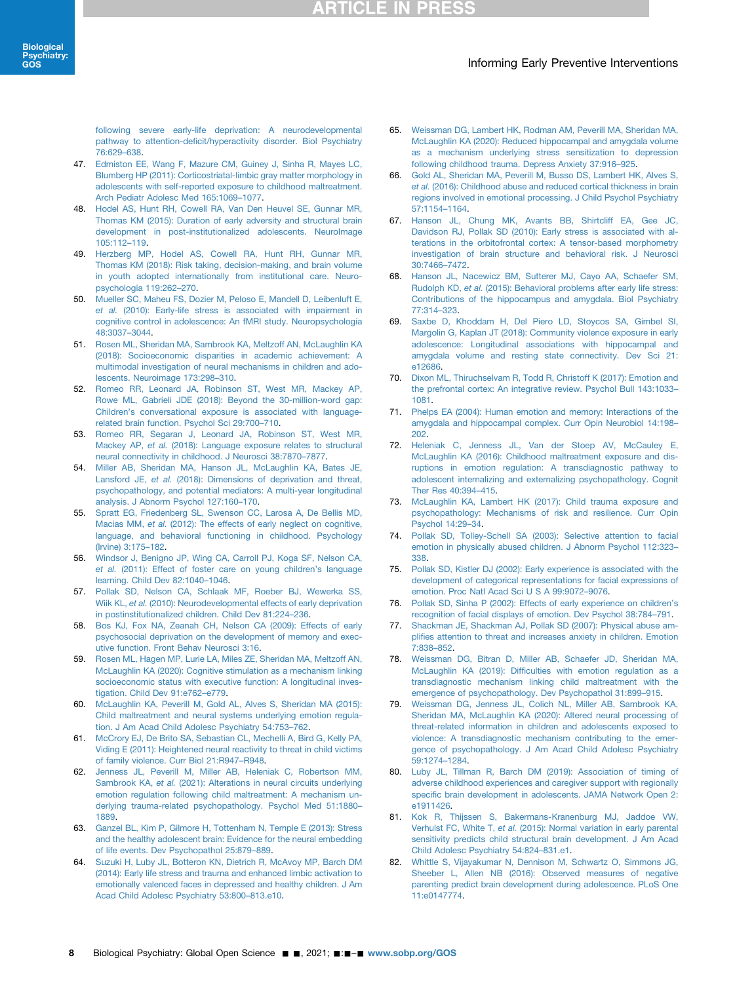### Informing Early Preventive Interventions

[following severe early-life deprivation: A neurodevelopmental](http://refhub.elsevier.com/S2667-1743(21)00120-8/sref46) pathway to attention-defi[cit/hyperactivity disorder. Biol Psychiatry](http://refhub.elsevier.com/S2667-1743(21)00120-8/sref46) [76:629](http://refhub.elsevier.com/S2667-1743(21)00120-8/sref46)–638.

- <span id="page-7-7"></span>47. [Edmiston EE, Wang F, Mazure CM, Guiney J, Sinha R, Mayes LC,](http://refhub.elsevier.com/S2667-1743(21)00120-8/sref47) [Blumberg HP \(2011\): Corticostriatal-limbic gray matter morphology in](http://refhub.elsevier.com/S2667-1743(21)00120-8/sref47) [adolescents with self-reported exposure to childhood maltreatment.](http://refhub.elsevier.com/S2667-1743(21)00120-8/sref47) [Arch Pediatr Adolesc Med 165:1069](http://refhub.elsevier.com/S2667-1743(21)00120-8/sref47)–1077.
- 48. [Hodel AS, Hunt RH, Cowell RA, Van Den Heuvel SE, Gunnar MR,](http://refhub.elsevier.com/S2667-1743(21)00120-8/sref48) [Thomas KM \(2015\): Duration of early adversity and structural brain](http://refhub.elsevier.com/S2667-1743(21)00120-8/sref48) [development in post-institutionalized adolescents. NeuroImage](http://refhub.elsevier.com/S2667-1743(21)00120-8/sref48) [105:112](http://refhub.elsevier.com/S2667-1743(21)00120-8/sref48)–119.
- 49. [Herzberg MP, Hodel AS, Cowell RA, Hunt RH, Gunnar MR,](http://refhub.elsevier.com/S2667-1743(21)00120-8/sref49) [Thomas KM \(2018\): Risk taking, decision-making, and brain volume](http://refhub.elsevier.com/S2667-1743(21)00120-8/sref49) [in youth adopted internationally from institutional care. Neuro](http://refhub.elsevier.com/S2667-1743(21)00120-8/sref49)[psychologia 119:262](http://refhub.elsevier.com/S2667-1743(21)00120-8/sref49)–270.
- <span id="page-7-0"></span>50. [Mueller SC, Maheu FS, Dozier M, Peloso E, Mandell D, Leibenluft E,](http://refhub.elsevier.com/S2667-1743(21)00120-8/sref50) et al. [\(2010\): Early-life stress is associated with impairment in](http://refhub.elsevier.com/S2667-1743(21)00120-8/sref50) [cognitive control in adolescence: An fMRI study. Neuropsychologia](http://refhub.elsevier.com/S2667-1743(21)00120-8/sref50) [48:3037](http://refhub.elsevier.com/S2667-1743(21)00120-8/sref50)–3044.
- <span id="page-7-1"></span>51. [Rosen ML, Sheridan MA, Sambrook KA, Meltzoff AN, McLaughlin KA](http://refhub.elsevier.com/S2667-1743(21)00120-8/sref51) [\(2018\): Socioeconomic disparities in academic achievement: A](http://refhub.elsevier.com/S2667-1743(21)00120-8/sref51) [multimodal investigation of neural mechanisms in children and ado](http://refhub.elsevier.com/S2667-1743(21)00120-8/sref51)[lescents. Neuroimage 173:298](http://refhub.elsevier.com/S2667-1743(21)00120-8/sref51)–310.
- <span id="page-7-2"></span>52. [Romeo RR, Leonard JA, Robinson ST, West MR, Mackey AP,](http://refhub.elsevier.com/S2667-1743(21)00120-8/sref52) [Rowe ML, Gabrieli JDE \(2018\): Beyond the 30-million-word gap:](http://refhub.elsevier.com/S2667-1743(21)00120-8/sref52) Children'[s conversational exposure is associated with language](http://refhub.elsevier.com/S2667-1743(21)00120-8/sref52)[related brain function. Psychol Sci 29:700](http://refhub.elsevier.com/S2667-1743(21)00120-8/sref52)–710.
- <span id="page-7-3"></span>53. [Romeo RR, Segaran J, Leonard JA, Robinson ST, West MR,](http://refhub.elsevier.com/S2667-1743(21)00120-8/sref53) Mackey AP, et al. [\(2018\): Language exposure relates to structural](http://refhub.elsevier.com/S2667-1743(21)00120-8/sref53) [neural connectivity in childhood. J Neurosci 38:7870](http://refhub.elsevier.com/S2667-1743(21)00120-8/sref53)–7877.
- <span id="page-7-4"></span>54. [Miller AB, Sheridan MA, Hanson JL, McLaughlin KA, Bates JE,](http://refhub.elsevier.com/S2667-1743(21)00120-8/sref54) Lansford JE, et al. [\(2018\): Dimensions of deprivation and threat,](http://refhub.elsevier.com/S2667-1743(21)00120-8/sref54) [psychopathology, and potential mediators: A multi-year longitudinal](http://refhub.elsevier.com/S2667-1743(21)00120-8/sref54) [analysis. J Abnorm Psychol 127:160](http://refhub.elsevier.com/S2667-1743(21)00120-8/sref54)–170.
- 55. [Spratt EG, Friedenberg SL, Swenson CC, Larosa A, De Bellis MD,](http://refhub.elsevier.com/S2667-1743(21)00120-8/sref55) Macias MM, et al. [\(2012\): The effects of early neglect on cognitive,](http://refhub.elsevier.com/S2667-1743(21)00120-8/sref55) [language, and behavioral functioning in childhood. Psychology](http://refhub.elsevier.com/S2667-1743(21)00120-8/sref55) [\(Irvine\) 3:175](http://refhub.elsevier.com/S2667-1743(21)00120-8/sref55)–182.
- 56. [Windsor J, Benigno JP, Wing CA, Carroll PJ, Koga SF, Nelson CA,](http://refhub.elsevier.com/S2667-1743(21)00120-8/sref56) et al. [\(2011\): Effect of foster care on young children](http://refhub.elsevier.com/S2667-1743(21)00120-8/sref56)'s language [learning. Child Dev 82:1040](http://refhub.elsevier.com/S2667-1743(21)00120-8/sref56)–1046.
- 57. [Pollak SD, Nelson CA, Schlaak MF, Roeber BJ, Wewerka SS,](http://refhub.elsevier.com/S2667-1743(21)00120-8/sref57) Wiik KL, et al. [\(2010\): Neurodevelopmental effects of early deprivation](http://refhub.elsevier.com/S2667-1743(21)00120-8/sref57) [in postinstitutionalized children. Child Dev 81:224](http://refhub.elsevier.com/S2667-1743(21)00120-8/sref57)–236.
- 58. [Bos KJ, Fox NA, Zeanah CH, Nelson CA \(2009\): Effects of early](http://refhub.elsevier.com/S2667-1743(21)00120-8/sref58) [psychosocial deprivation on the development of memory and exec](http://refhub.elsevier.com/S2667-1743(21)00120-8/sref58)[utive function. Front Behav Neurosci 3:16](http://refhub.elsevier.com/S2667-1743(21)00120-8/sref58).
- <span id="page-7-5"></span>59. [Rosen ML, Hagen MP, Lurie LA, Miles ZE, Sheridan MA, Meltzoff AN,](http://refhub.elsevier.com/S2667-1743(21)00120-8/sref59) [McLaughlin KA \(2020\): Cognitive stimulation as a mechanism linking](http://refhub.elsevier.com/S2667-1743(21)00120-8/sref59) [socioeconomic status with executive function: A longitudinal inves](http://refhub.elsevier.com/S2667-1743(21)00120-8/sref59)[tigation. Child Dev 91:e762](http://refhub.elsevier.com/S2667-1743(21)00120-8/sref59)–e779.
- <span id="page-7-6"></span>60. [McLaughlin KA, Peverill M, Gold AL, Alves S, Sheridan MA \(2015\):](http://refhub.elsevier.com/S2667-1743(21)00120-8/sref60) [Child maltreatment and neural systems underlying emotion regula](http://refhub.elsevier.com/S2667-1743(21)00120-8/sref60)[tion. J Am Acad Child Adolesc Psychiatry 54:753](http://refhub.elsevier.com/S2667-1743(21)00120-8/sref60)–762.
- 61. [McCrory EJ, De Brito SA, Sebastian CL, Mechelli A, Bird G, Kelly PA,](http://refhub.elsevier.com/S2667-1743(21)00120-8/sref61) [Viding E \(2011\): Heightened neural reactivity to threat in child victims](http://refhub.elsevier.com/S2667-1743(21)00120-8/sref61) [of family violence. Curr Biol 21:R947](http://refhub.elsevier.com/S2667-1743(21)00120-8/sref61)–R948.
- <span id="page-7-12"></span>62. [Jenness JL, Peverill M, Miller AB, Heleniak C, Robertson MM,](http://refhub.elsevier.com/S2667-1743(21)00120-8/sref62) Sambrook KA, et al. [\(2021\): Alterations in neural circuits underlying](http://refhub.elsevier.com/S2667-1743(21)00120-8/sref62) [emotion regulation following child maltreatment: A mechanism un](http://refhub.elsevier.com/S2667-1743(21)00120-8/sref62)[derlying trauma-related psychopathology. Psychol Med 51:1880](http://refhub.elsevier.com/S2667-1743(21)00120-8/sref62)– [1889.](http://refhub.elsevier.com/S2667-1743(21)00120-8/sref62)
- 63. [Ganzel BL, Kim P, Gilmore H, Tottenham N, Temple E \(2013\): Stress](http://refhub.elsevier.com/S2667-1743(21)00120-8/sref63) [and the healthy adolescent brain: Evidence for the neural embedding](http://refhub.elsevier.com/S2667-1743(21)00120-8/sref63) [of life events. Dev Psychopathol 25:879](http://refhub.elsevier.com/S2667-1743(21)00120-8/sref63)–889.
- 64. [Suzuki H, Luby JL, Botteron KN, Dietrich R, McAvoy MP, Barch DM](http://refhub.elsevier.com/S2667-1743(21)00120-8/sref64) [\(2014\): Early life stress and trauma and enhanced limbic activation to](http://refhub.elsevier.com/S2667-1743(21)00120-8/sref64) [emotionally valenced faces in depressed and healthy children. J Am](http://refhub.elsevier.com/S2667-1743(21)00120-8/sref64) [Acad Child Adolesc Psychiatry 53:800](http://refhub.elsevier.com/S2667-1743(21)00120-8/sref64)–813.e10.
- <span id="page-7-8"></span>65. [Weissman DG, Lambert HK, Rodman AM, Peverill MA, Sheridan MA,](http://refhub.elsevier.com/S2667-1743(21)00120-8/sref65) [McLaughlin KA \(2020\): Reduced hippocampal and amygdala volume](http://refhub.elsevier.com/S2667-1743(21)00120-8/sref65) [as a mechanism underlying stress sensitization to depression](http://refhub.elsevier.com/S2667-1743(21)00120-8/sref65) [following childhood trauma. Depress Anxiety 37:916](http://refhub.elsevier.com/S2667-1743(21)00120-8/sref65)–925.
- <span id="page-7-15"></span>66. [Gold AL, Sheridan MA, Peverill M, Busso DS, Lambert HK, Alves S,](http://refhub.elsevier.com/S2667-1743(21)00120-8/sref66) et al. [\(2016\): Childhood abuse and reduced cortical thickness in brain](http://refhub.elsevier.com/S2667-1743(21)00120-8/sref66) [regions involved in emotional processing. J Child Psychol Psychiatry](http://refhub.elsevier.com/S2667-1743(21)00120-8/sref66) [57:1154](http://refhub.elsevier.com/S2667-1743(21)00120-8/sref66)–1164.
- 67. [Hanson JL, Chung MK, Avants BB, Shirtcliff EA, Gee JC,](http://refhub.elsevier.com/S2667-1743(21)00120-8/sref67) [Davidson RJ, Pollak SD \(2010\): Early stress is associated with al](http://refhub.elsevier.com/S2667-1743(21)00120-8/sref67)[terations in the orbitofrontal cortex: A tensor-based morphometry](http://refhub.elsevier.com/S2667-1743(21)00120-8/sref67) [investigation of brain structure and behavioral risk. J Neurosci](http://refhub.elsevier.com/S2667-1743(21)00120-8/sref67) [30:7466](http://refhub.elsevier.com/S2667-1743(21)00120-8/sref67)–7472.
- 68. [Hanson JL, Nacewicz BM, Sutterer MJ, Cayo AA, Schaefer SM,](http://refhub.elsevier.com/S2667-1743(21)00120-8/sref68) Rudolph KD, et al. [\(2015\): Behavioral problems after early life stress:](http://refhub.elsevier.com/S2667-1743(21)00120-8/sref68) [Contributions of the hippocampus and amygdala. Biol Psychiatry](http://refhub.elsevier.com/S2667-1743(21)00120-8/sref68) [77:314](http://refhub.elsevier.com/S2667-1743(21)00120-8/sref68)–323.
- <span id="page-7-16"></span>69. [Saxbe D, Khoddam H, Del Piero LD, Stoycos SA, Gimbel SI,](http://refhub.elsevier.com/S2667-1743(21)00120-8/sref69) [Margolin G, Kaplan JT \(2018\): Community violence exposure in early](http://refhub.elsevier.com/S2667-1743(21)00120-8/sref69) [adolescence: Longitudinal associations with hippocampal and](http://refhub.elsevier.com/S2667-1743(21)00120-8/sref69) [amygdala volume and resting state connectivity. Dev Sci 21:](http://refhub.elsevier.com/S2667-1743(21)00120-8/sref69) [e12686.](http://refhub.elsevier.com/S2667-1743(21)00120-8/sref69)
- <span id="page-7-9"></span>70. [Dixon ML, Thiruchselvam R, Todd R, Christoff K \(2017\): Emotion and](http://refhub.elsevier.com/S2667-1743(21)00120-8/sref70) [the prefrontal cortex: An integrative review. Psychol Bull 143:1033](http://refhub.elsevier.com/S2667-1743(21)00120-8/sref70)– [1081](http://refhub.elsevier.com/S2667-1743(21)00120-8/sref70).
- <span id="page-7-10"></span>71. [Phelps EA \(2004\): Human emotion and memory: Interactions of the](http://refhub.elsevier.com/S2667-1743(21)00120-8/sref71) [amygdala and hippocampal complex. Curr Opin Neurobiol 14:198](http://refhub.elsevier.com/S2667-1743(21)00120-8/sref71)– [202](http://refhub.elsevier.com/S2667-1743(21)00120-8/sref71).
- <span id="page-7-11"></span>72. [Heleniak C, Jenness JL, Van der Stoep AV, McCauley E,](http://refhub.elsevier.com/S2667-1743(21)00120-8/sref72) [McLaughlin KA \(2016\): Childhood maltreatment exposure and dis](http://refhub.elsevier.com/S2667-1743(21)00120-8/sref72)[ruptions in emotion regulation: A transdiagnostic pathway to](http://refhub.elsevier.com/S2667-1743(21)00120-8/sref72) [adolescent internalizing and externalizing psychopathology. Cognit](http://refhub.elsevier.com/S2667-1743(21)00120-8/sref72) [Ther Res 40:394](http://refhub.elsevier.com/S2667-1743(21)00120-8/sref72)–415.
- 73. [McLaughlin KA, Lambert HK \(2017\): Child trauma exposure and](http://refhub.elsevier.com/S2667-1743(21)00120-8/sref73) [psychopathology: Mechanisms of risk and resilience. Curr Opin](http://refhub.elsevier.com/S2667-1743(21)00120-8/sref73) [Psychol 14:29](http://refhub.elsevier.com/S2667-1743(21)00120-8/sref73)–34.
- 74. [Pollak SD, Tolley-Schell SA \(2003\): Selective attention to facial](http://refhub.elsevier.com/S2667-1743(21)00120-8/sref74) [emotion in physically abused children. J Abnorm Psychol 112:323](http://refhub.elsevier.com/S2667-1743(21)00120-8/sref74)– [338](http://refhub.elsevier.com/S2667-1743(21)00120-8/sref74).
- 75. [Pollak SD, Kistler DJ \(2002\): Early experience is associated with the](http://refhub.elsevier.com/S2667-1743(21)00120-8/sref75) [development of categorical representations for facial expressions of](http://refhub.elsevier.com/S2667-1743(21)00120-8/sref75) [emotion. Proc Natl Acad Sci U S A 99:9072](http://refhub.elsevier.com/S2667-1743(21)00120-8/sref75)–9076.
- 76. [Pollak SD, Sinha P \(2002\): Effects of early experience on children](http://refhub.elsevier.com/S2667-1743(21)00120-8/sref76)'s [recognition of facial displays of emotion. Dev Psychol 38:784](http://refhub.elsevier.com/S2667-1743(21)00120-8/sref76)–791.
- [Shackman JE, Shackman AJ, Pollak SD \(2007\): Physical abuse am](http://refhub.elsevier.com/S2667-1743(21)00120-8/sref77)plifi[es attention to threat and increases anxiety in children. Emotion](http://refhub.elsevier.com/S2667-1743(21)00120-8/sref77) [7:838](http://refhub.elsevier.com/S2667-1743(21)00120-8/sref77)–852.
- 78. [Weissman DG, Bitran D, Miller AB, Schaefer JD, Sheridan MA,](http://refhub.elsevier.com/S2667-1743(21)00120-8/sref78) McLaughlin KA (2019): Diffi[culties with emotion regulation as a](http://refhub.elsevier.com/S2667-1743(21)00120-8/sref78) [transdiagnostic mechanism linking child maltreatment with the](http://refhub.elsevier.com/S2667-1743(21)00120-8/sref78) [emergence of psychopathology. Dev Psychopathol 31:899](http://refhub.elsevier.com/S2667-1743(21)00120-8/sref78)–915.
- <span id="page-7-13"></span>79. [Weissman DG, Jenness JL, Colich NL, Miller AB, Sambrook KA,](http://refhub.elsevier.com/S2667-1743(21)00120-8/sref79) [Sheridan MA, McLaughlin KA \(2020\): Altered neural processing of](http://refhub.elsevier.com/S2667-1743(21)00120-8/sref79) [threat-related information in children and adolescents exposed to](http://refhub.elsevier.com/S2667-1743(21)00120-8/sref79) [violence: A transdiagnostic mechanism contributing to the emer](http://refhub.elsevier.com/S2667-1743(21)00120-8/sref79)[gence of psychopathology. J Am Acad Child Adolesc Psychiatry](http://refhub.elsevier.com/S2667-1743(21)00120-8/sref79) [59:1274](http://refhub.elsevier.com/S2667-1743(21)00120-8/sref79)–1284.
- <span id="page-7-14"></span>80. [Luby JL, Tillman R, Barch DM \(2019\): Association of timing of](http://refhub.elsevier.com/S2667-1743(21)00120-8/sref80) [adverse childhood experiences and caregiver support with regionally](http://refhub.elsevier.com/S2667-1743(21)00120-8/sref80) specifi[c brain development in adolescents. JAMA Network Open 2:](http://refhub.elsevier.com/S2667-1743(21)00120-8/sref80) [e1911426](http://refhub.elsevier.com/S2667-1743(21)00120-8/sref80).
- <span id="page-7-17"></span>81. [Kok R, Thijssen S, Bakermans-Kranenburg MJ, Jaddoe VW,](http://refhub.elsevier.com/S2667-1743(21)00120-8/sref81) Verhulst FC, White T, et al. [\(2015\): Normal variation in early parental](http://refhub.elsevier.com/S2667-1743(21)00120-8/sref81) [sensitivity predicts child structural brain development. J Am Acad](http://refhub.elsevier.com/S2667-1743(21)00120-8/sref81) [Child Adolesc Psychiatry 54:824](http://refhub.elsevier.com/S2667-1743(21)00120-8/sref81)–831.e1.
- 82. [Whittle S, Vijayakumar N, Dennison M, Schwartz O, Simmons JG,](http://refhub.elsevier.com/S2667-1743(21)00120-8/sref82) [Sheeber L, Allen NB \(2016\): Observed measures of negative](http://refhub.elsevier.com/S2667-1743(21)00120-8/sref82) [parenting predict brain development during adolescence. PLoS One](http://refhub.elsevier.com/S2667-1743(21)00120-8/sref82) [11:e0147774](http://refhub.elsevier.com/S2667-1743(21)00120-8/sref82).